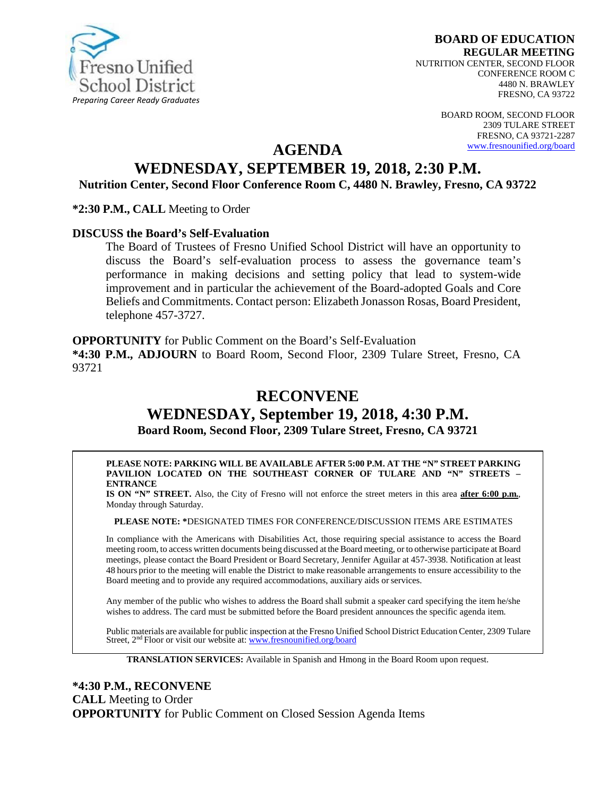

**BOARD OF EDUCATION REGULAR MEETING** NUTRITION CENTER, SECOND FLOOR CONFERENCE ROOM C 4480 N. BRAWLEY FRESNO, CA 93722

> BOARD ROOM, SECOND FLOOR 2309 TULARE STREET FRESNO, CA 93721-2287 [www.fresnounified.org/board](http://www.fresnounified.org/board)

# **AGENDA**

# **WEDNESDAY, SEPTEMBER 19, 2018, 2:30 P.M.**

**Nutrition Center, Second Floor Conference Room C, 4480 N. Brawley, Fresno, CA 93722**

**\*2:30 P.M., CALL** Meeting to Order

#### **DISCUSS the Board's Self-Evaluation**

The Board of Trustees of Fresno Unified School District will have an opportunity to discuss the Board's self-evaluation process to assess the governance team's performance in making decisions and setting policy that lead to system-wide improvement and in particular the achievement of the Board-adopted Goals and Core Beliefs and Commitments. Contact person: Elizabeth Jonasson Rosas, Board President, telephone 457-3727.

**OPPORTUNITY** for Public Comment on the Board's Self-Evaluation **\*4:30 P.M., ADJOURN** to Board Room, Second Floor, 2309 Tulare Street, Fresno, CA 93721

# **RECONVENE**

# **WEDNESDAY, September 19, 2018, 4:30 P.M. Board Room, Second Floor, 2309 Tulare Street, Fresno, CA 93721**

**PLEASE NOTE: PARKING WILL BE AVAILABLE AFTER 5:00 P.M. AT THE "N" STREET PARKING PAVILION LOCATED ON THE SOUTHEAST CORNER OF TULARE AND "N" STREETS – ENTRANCE**

**IS ON "N" STREET.** Also, the City of Fresno will not enforce the street meters in this area **after 6:00 p.m.**, Monday through Saturday.

**PLEASE NOTE: \***DESIGNATED TIMES FOR CONFERENCE/DISCUSSION ITEMS ARE ESTIMATES

In compliance with the Americans with Disabilities Act, those requiring special assistance to access the Board meeting room, to access written documents being discussed at the Board meeting, or to otherwise participate atBoard meetings, please contact the Board President or Board Secretary, Jennifer Aguilar at 457-3938. Notification at least 48 hours prior to the meeting will enable the District to make reasonable arrangements to ensure accessibility to the Board meeting and to provide any required accommodations, auxiliary aids orservices.

Any member of the public who wishes to address the Board shall submit a speaker card specifying the item he/she wishes to address. The card must be submitted before the Board president announces the specific agenda item.

Public materials are available for public inspection at the Fresno Unified School District Education Center, 2309 Tulare Street, 2nd Floor or visit our website at: [www.fresnounified.org/board](http://www.fresnounified.org/board)

**TRANSLATION SERVICES:** Available in Spanish and Hmong in the Board Room upon request.

**\*4:30 P.M., RECONVENE CALL** Meeting to Order **OPPORTUNITY** for Public Comment on Closed Session Agenda Items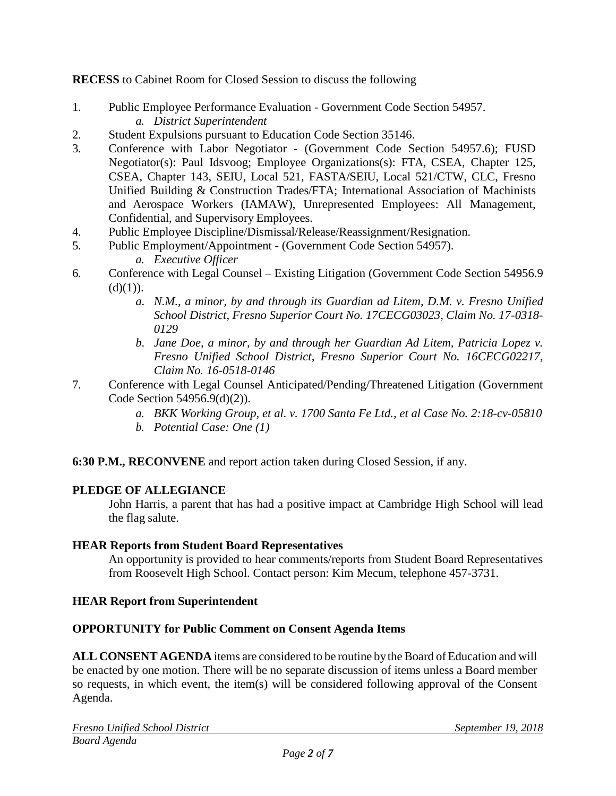**RECESS** to Cabinet Room for Closed Session to discuss the following

- 1. Public Employee Performance Evaluation Government Code Section 54957. *a. District Superintendent*
- 2. Student Expulsions pursuant to Education Code Section 35146.
- 3. Conference with Labor Negotiator (Government Code Section 54957.6); FUSD Negotiator(s): Paul Idsvoog; Employee Organizations(s): FTA, CSEA, Chapter 125, CSEA, Chapter 143, SEIU, Local 521, FASTA/SEIU, Local 521/CTW, CLC, Fresno Unified Building & Construction Trades/FTA; International Association of Machinists and Aerospace Workers (IAMAW), Unrepresented Employees: All Management, Confidential, and Supervisory Employees.
- 4. Public Employee Discipline/Dismissal/Release/Reassignment/Resignation.
- 5. Public Employment/Appointment (Government Code Section 54957). *a. Executive Officer*
- 6. Conference with Legal Counsel Existing Litigation (Government Code Section 54956.9  $(d)(1)).$ 
	- *a. N.M., a minor, by and through its Guardian ad Litem, D.M. v. Fresno Unified School District, Fresno Superior Court No. 17CECG03023, Claim No. 17-0318- 0129*
	- *b. Jane Doe, a minor, by and through her Guardian Ad Litem, Patricia Lopez v. Fresno Unified School District, Fresno Superior Court No. 16CECG02217, Claim No. 16-0518-0146*
- 7. Conference with Legal Counsel Anticipated/Pending/Threatened Litigation (Government Code Section 54956.9(d)(2)).
	- *a. BKK Working Group, et al. v. 1700 Santa Fe Ltd., et al Case No. 2:18-cv-05810*
	- *b. Potential Case: One (1)*

**6:30 P.M., RECONVENE** and report action taken during Closed Session, if any.

# **PLEDGE OF ALLEGIANCE**

John Harris, a parent that has had a positive impact at Cambridge High School will lead the flag salute.

# **HEAR Reports from Student Board Representatives**

An opportunity is provided to hear comments/reports from Student Board Representatives from Roosevelt High School. Contact person: Kim Mecum, telephone 457-3731.

# **HEAR Report from Superintendent**

# **OPPORTUNITY for Public Comment on Consent Agenda Items**

**ALL CONSENT AGENDA** items are considered to be routine bythe Board of Education and will be enacted by one motion. There will be no separate discussion of items unless a Board member so requests, in which event, the item(s) will be considered following approval of the Consent Agenda.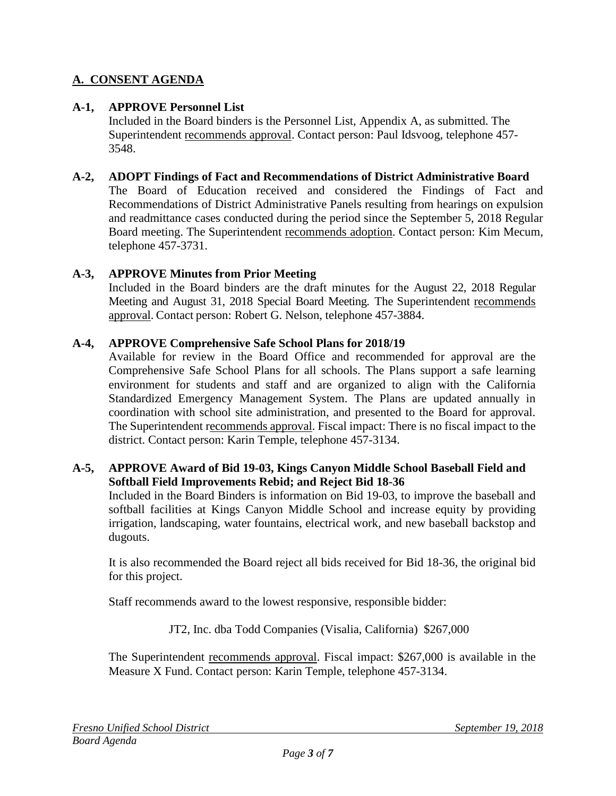# **A. CONSENT AGENDA**

# **A-1, APPROVE Personnel List**

Included in the Board binders is the Personnel List, Appendix A, as submitted. The Superintendent recommends approval. Contact person: Paul Idsvoog, telephone 457- 3548.

# **A-2, ADOPT Findings of Fact and Recommendations of District Administrative Board**

The Board of Education received and considered the Findings of Fact and Recommendations of District Administrative Panels resulting from hearings on expulsion and readmittance cases conducted during the period since the September 5, 2018 Regular Board meeting. The Superintendent recommends adoption. Contact person: Kim Mecum, telephone 457-3731.

# **A-3, APPROVE Minutes from Prior Meeting**

Included in the Board binders are the draft minutes for the August 22, 2018 Regular Meeting and August 31, 2018 Special Board Meeting. The Superintendent recommends approval. Contact person: Robert G. Nelson, telephone 457-3884.

# **A-4, APPROVE Comprehensive Safe School Plans for 2018/19**

Available for review in the Board Office and recommended for approval are the Comprehensive Safe School Plans for all schools. The Plans support a safe learning environment for students and staff and are organized to align with the California Standardized Emergency Management System. The Plans are updated annually in coordination with school site administration, and presented to the Board for approval. The Superintendent recommends approval. Fiscal impact: There is no fiscal impact to the district. Contact person: Karin Temple, telephone 457-3134.

# **A-5, APPROVE Award of Bid 19-03, Kings Canyon Middle School Baseball Field and Softball Field Improvements Rebid; and Reject Bid 18-36**

Included in the Board Binders is information on Bid 19-03, to improve the baseball and softball facilities at Kings Canyon Middle School and increase equity by providing irrigation, landscaping, water fountains, electrical work, and new baseball backstop and dugouts.

It is also recommended the Board reject all bids received for Bid 18-36, the original bid for this project.

Staff recommends award to the lowest responsive, responsible bidder:

JT2, Inc. dba Todd Companies (Visalia, California) \$267,000

The Superintendent recommends approval. Fiscal impact: \$267,000 is available in the Measure X Fund. Contact person: Karin Temple, telephone 457-3134.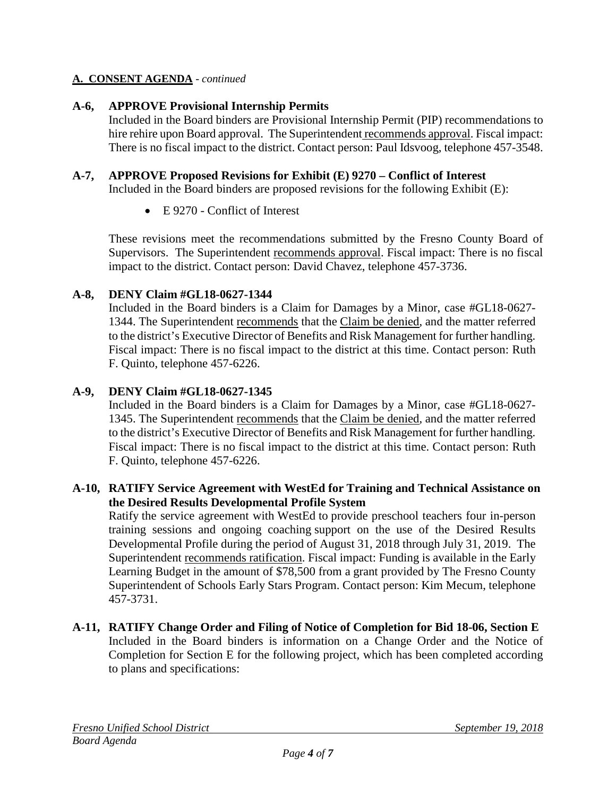# **A. CONSENT AGENDA** - *continued*

# **A-6, APPROVE Provisional Internship Permits**

Included in the Board binders are Provisional Internship Permit (PIP) recommendations to hire rehire upon Board approval. The Superintendent recommends approval. Fiscal impact: There is no fiscal impact to the district. Contact person: Paul Idsvoog, telephone 457-3548.

# **A-7, APPROVE Proposed Revisions for Exhibit (E) 9270 – Conflict of Interest**

Included in the Board binders are proposed revisions for the following Exhibit (E):

• E 9270 - Conflict of Interest

These revisions meet the recommendations submitted by the Fresno County Board of Supervisors. The Superintendent recommends approval. Fiscal impact: There is no fiscal impact to the district. Contact person: David Chavez, telephone 457-3736.

# **A-8, DENY Claim #GL18-0627-1344**

Included in the Board binders is a Claim for Damages by a Minor, case #GL18-0627- 1344. The Superintendent recommends that the Claim be denied, and the matter referred to the district's Executive Director of Benefits and Risk Management for further handling. Fiscal impact: There is no fiscal impact to the district at this time. Contact person: Ruth F. Quinto, telephone 457-6226.

# **A-9, DENY Claim #GL18-0627-1345**

Included in the Board binders is a Claim for Damages by a Minor, case #GL18-0627- 1345. The Superintendent recommends that the Claim be denied, and the matter referred to the district's Executive Director of Benefits and Risk Management for further handling. Fiscal impact: There is no fiscal impact to the district at this time. Contact person: Ruth F. Quinto, telephone 457-6226.

# **A-10, RATIFY Service Agreement with WestEd for Training and Technical Assistance on the Desired Results Developmental Profile System**

Ratify the service agreement with WestEd to provide preschool teachers four in-person training sessions and ongoing coaching support on the use of the Desired Results Developmental Profile during the period of August 31, 2018 through July 31, 2019. The Superintendent recommends ratification. Fiscal impact: Funding is available in the Early Learning Budget in the amount of \$78,500 from a grant provided by The Fresno County Superintendent of Schools Early Stars Program. Contact person: Kim Mecum, telephone 457-3731.

# **A-11, RATIFY Change Order and Filing of Notice of Completion for Bid 18-06, Section E** Included in the Board binders is information on a Change Order and the Notice of Completion for Section E for the following project, which has been completed according to plans and specifications: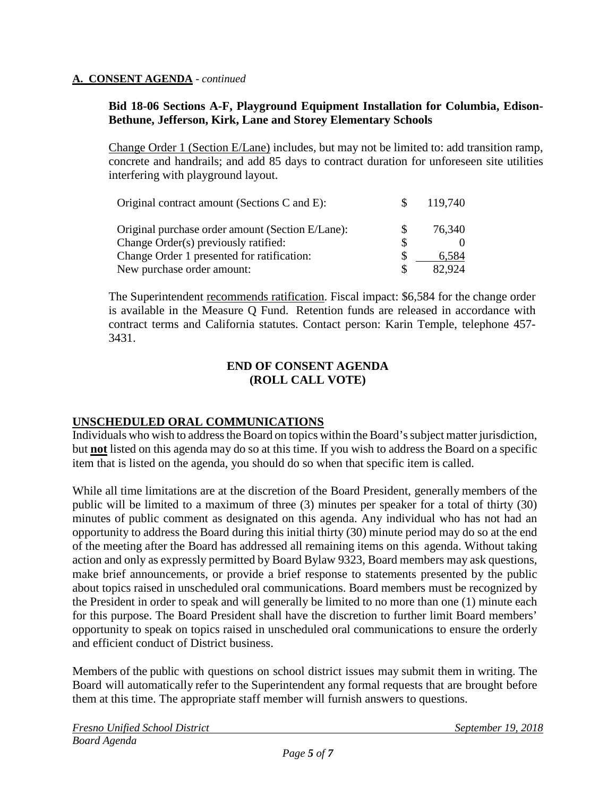#### **A. CONSENT AGENDA** - *continued*

# **Bid 18-06 Sections A-F, Playground Equipment Installation for Columbia, Edison-Bethune, Jefferson, Kirk, Lane and Storey Elementary Schools**

Change Order 1 (Section E/Lane) includes, but may not be limited to: add transition ramp, concrete and handrails; and add 85 days to contract duration for unforeseen site utilities interfering with playground layout.

| Original contract amount (Sections C and E):     | 119,740 |
|--------------------------------------------------|---------|
| Original purchase order amount (Section E/Lane): | 76,340  |
| Change Order(s) previously ratified:             |         |
| Change Order 1 presented for ratification:       | 6.584   |
| New purchase order amount:                       | 82,924  |

The Superintendent recommends ratification. Fiscal impact: \$6,584 for the change order is available in the Measure Q Fund. Retention funds are released in accordance with contract terms and California statutes. Contact person: Karin Temple, telephone 457- 3431.

#### **END OF CONSENT AGENDA (ROLL CALL VOTE)**

# **UNSCHEDULED ORAL COMMUNICATIONS**

Individuals who wish to address the Board on topics within the Board's subject matter jurisdiction, but **not** listed on this agenda may do so at this time. If you wish to address the Board on a specific item that is listed on the agenda, you should do so when that specific item is called.

While all time limitations are at the discretion of the Board President, generally members of the public will be limited to a maximum of three (3) minutes per speaker for a total of thirty (30) minutes of public comment as designated on this agenda. Any individual who has not had an opportunity to address the Board during this initial thirty (30) minute period may do so at the end of the meeting after the Board has addressed all remaining items on this agenda. Without taking action and only as expressly permitted by Board Bylaw 9323, Board members may ask questions, make brief announcements, or provide a brief response to statements presented by the public about topics raised in unscheduled oral communications. Board members must be recognized by the President in order to speak and will generally be limited to no more than one (1) minute each for this purpose. The Board President shall have the discretion to further limit Board members' opportunity to speak on topics raised in unscheduled oral communications to ensure the orderly and efficient conduct of District business.

Members of the public with questions on school district issues may submit them in writing. The Board will automatically refer to the Superintendent any formal requests that are brought before them at this time. The appropriate staff member will furnish answers to questions.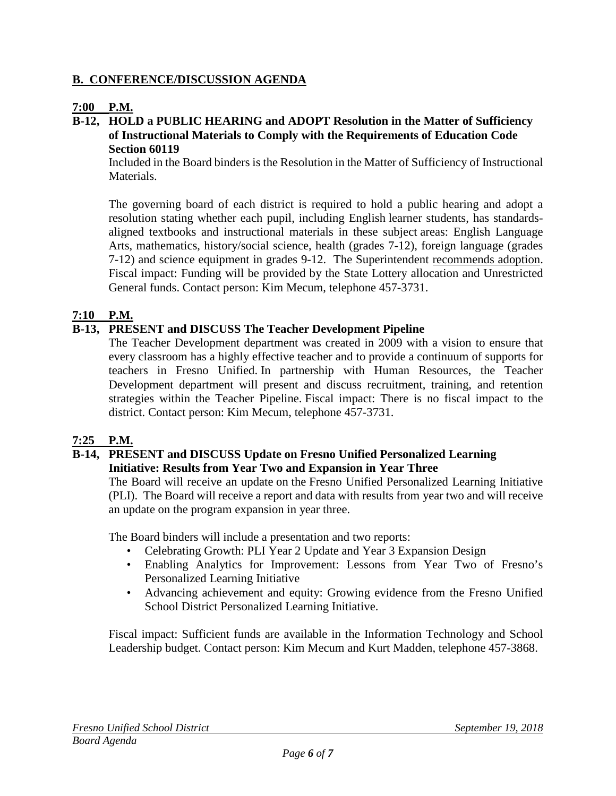# **B. CONFERENCE/DISCUSSION AGENDA**

# **7:00 P.M.**

# **B-12, HOLD a PUBLIC HEARING and ADOPT Resolution in the Matter of Sufficiency of Instructional Materials to Comply with the Requirements of Education Code Section 60119**

Included in the Board binders is the Resolution in the Matter of Sufficiency of Instructional Materials.

The governing board of each district is required to hold a public hearing and adopt a resolution stating whether each pupil, including English learner students, has standardsaligned textbooks and instructional materials in these subject areas: English Language Arts, mathematics, history/social science, health (grades 7-12), foreign language (grades 7-12) and science equipment in grades 9-12. The Superintendent recommends adoption. Fiscal impact: Funding will be provided by the State Lottery allocation and Unrestricted General funds. Contact person: Kim Mecum, telephone 457-3731.

# **7:10 P.M.**

# **B-13, PRESENT and DISCUSS The Teacher Development Pipeline**

The Teacher Development department was created in 2009 with a vision to ensure that every classroom has a highly effective teacher and to provide a continuum of supports for teachers in Fresno Unified. In partnership with Human Resources, the Teacher Development department will present and discuss recruitment, training, and retention strategies within the Teacher Pipeline. Fiscal impact: There is no fiscal impact to the district. Contact person: Kim Mecum, telephone 457-3731.

# **7:25 P.M.**

# **B-14, PRESENT and DISCUSS Update on Fresno Unified Personalized Learning Initiative: Results from Year Two and Expansion in Year Three**

The Board will receive an update on the Fresno Unified Personalized Learning Initiative (PLI). The Board will receive a report and data with results from year two and will receive an update on the program expansion in year three.

The Board binders will include a presentation and two reports:

- Celebrating Growth: PLI Year 2 Update and Year 3 Expansion Design
- Enabling Analytics for Improvement: Lessons from Year Two of Fresno's Personalized Learning Initiative
- Advancing achievement and equity: Growing evidence from the Fresno Unified School District Personalized Learning Initiative.

Fiscal impact: Sufficient funds are available in the Information Technology and School Leadership budget. Contact person: Kim Mecum and Kurt Madden, telephone 457-3868.